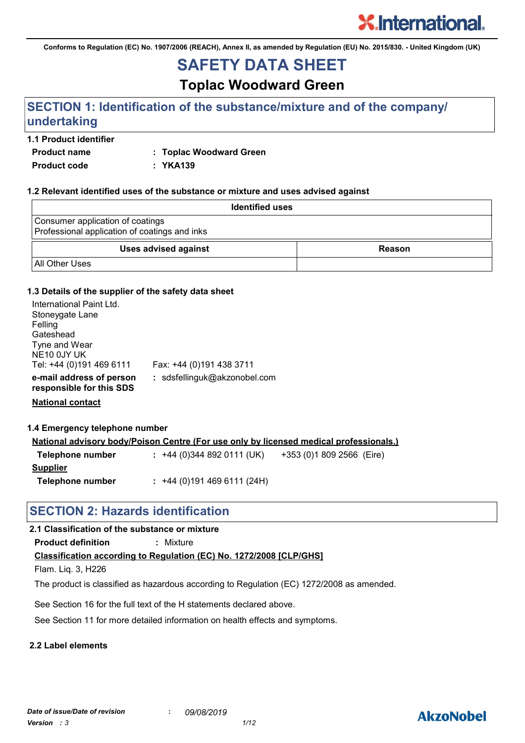**Conforms to Regulation (EC) No. 1907/2006 (REACH), Annex II, as amended by Regulation (EU) No. 2015/830. - United Kingdom (UK)**

# **SAFETY DATA SHEET**

**Toplac Woodward Green**

# **SECTION 1: Identification of the substance/mixture and of the company/ undertaking**

#### **1.1 Product identifier**

**Product name : Toplac Woodward Green**

**Product code : YKA139**

#### **1.2 Relevant identified uses of the substance or mixture and uses advised against**

| <b>Identified uses</b>                                                            |        |
|-----------------------------------------------------------------------------------|--------|
| Consumer application of coatings<br>Professional application of coatings and inks |        |
| <b>Uses advised against</b>                                                       | Reason |
| <b>All Other Uses</b>                                                             |        |

#### **1.3 Details of the supplier of the safety data sheet**

| International Paint Ltd.<br>Stoneygate Lane<br>Felling<br>Gateshead<br>Tyne and Wear<br>NE <sub>10</sub> 0JY UK<br>Tel: +44 (0)191 469 6111 | Fax: +44 (0)191 438 3711     |
|---------------------------------------------------------------------------------------------------------------------------------------------|------------------------------|
| e-mail address of person<br>responsible for this SDS                                                                                        | : sdsfellinguk@akzonobel.com |

**National contact**

#### **1.4 Emergency telephone number**

|                  | <u>National advisory body/Poison Centre (For use only by licensed medical professionals.)</u> |  |
|------------------|-----------------------------------------------------------------------------------------------|--|
| Telephone number | $: +44(0)3448920111(UK)$<br>+353 (0)1 809 2566 (Eire)                                         |  |
| <b>Supplier</b>  |                                                                                               |  |
| Telephone number | $: +44(0)1914696111(24H)$                                                                     |  |

# **SECTION 2: Hazards identification**

### **2.1 Classification of the substance or mixture**

**Product definition :** Mixture

### **Classification according to Regulation (EC) No. 1272/2008 [CLP/GHS]**

Flam. Liq. 3, H226

The product is classified as hazardous according to Regulation (EC) 1272/2008 as amended.

See Section 16 for the full text of the H statements declared above.

See Section 11 for more detailed information on health effects and symptoms.

### **2.2 Label elements**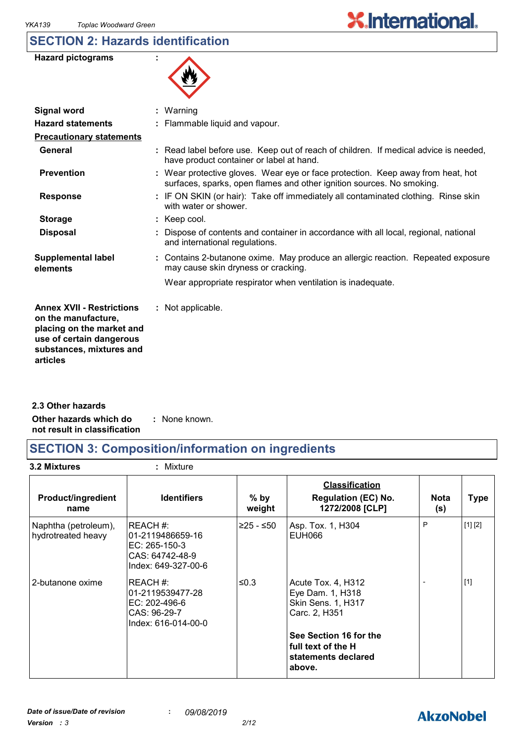# **SECTION 2: Hazards identification**



| <b>Signal word</b>                                                                                                                                       | $:$ Warning                                                                                                                                              |
|----------------------------------------------------------------------------------------------------------------------------------------------------------|----------------------------------------------------------------------------------------------------------------------------------------------------------|
| <b>Hazard statements</b>                                                                                                                                 | : Flammable liquid and vapour.                                                                                                                           |
| <b>Precautionary statements</b>                                                                                                                          |                                                                                                                                                          |
| General                                                                                                                                                  | : Read label before use. Keep out of reach of children. If medical advice is needed,<br>have product container or label at hand.                         |
| <b>Prevention</b>                                                                                                                                        | : Wear protective gloves. Wear eye or face protection. Keep away from heat, hot<br>surfaces, sparks, open flames and other ignition sources. No smoking. |
| <b>Response</b>                                                                                                                                          | : IF ON SKIN (or hair): Take off immediately all contaminated clothing. Rinse skin<br>with water or shower.                                              |
| <b>Storage</b>                                                                                                                                           | $:$ Keep cool.                                                                                                                                           |
| <b>Disposal</b>                                                                                                                                          | : Dispose of contents and container in accordance with all local, regional, national<br>and international regulations.                                   |
| <b>Supplemental label</b><br>elements                                                                                                                    | : Contains 2-butanone oxime. May produce an allergic reaction. Repeated exposure<br>may cause skin dryness or cracking.                                  |
|                                                                                                                                                          | Wear appropriate respirator when ventilation is inadequate.                                                                                              |
| <b>Annex XVII - Restrictions</b><br>on the manufacture,<br>placing on the market and<br>use of certain dangerous<br>substances, mixtures and<br>articles | : Not applicable.                                                                                                                                        |
|                                                                                                                                                          |                                                                                                                                                          |

**Other hazards which do : not result in classification** : None known. **2.3 Other hazards**

# **SECTION 3: Composition/information on ingredients**

**3.2 Mixtures :** Mixture

| <b>Product/ingredient</b><br>name          | <b>Identifiers</b>                                                                      | $%$ by<br>weight | <b>Classification</b><br><b>Regulation (EC) No.</b><br>1272/2008 [CLP]          | <b>Nota</b><br>(s) | <b>Type</b> |
|--------------------------------------------|-----------------------------------------------------------------------------------------|------------------|---------------------------------------------------------------------------------|--------------------|-------------|
| Naphtha (petroleum),<br>hydrotreated heavy | REACH#:<br>l01-2119486659-16<br>EC: 265-150-3<br>CAS: 64742-48-9<br>Index: 649-327-00-6 | ≥25 - ≤50        | Asp. Tox. 1, H304<br>EUH066                                                     | P                  | [1] [2]     |
| 2-butanone oxime                           | REACH #:<br>01-2119539477-28<br>EC: 202-496-6<br>CAS: 96-29-7<br>Index: 616-014-00-0    | ≤0.3             | Acute Tox. 4, H312<br>Eye Dam. 1, H318<br>Skin Sens. 1, H317<br>Carc. 2, H351   |                    | $[1]$       |
|                                            |                                                                                         |                  | See Section 16 for the<br>l full text of the H<br>statements declared<br>above. |                    |             |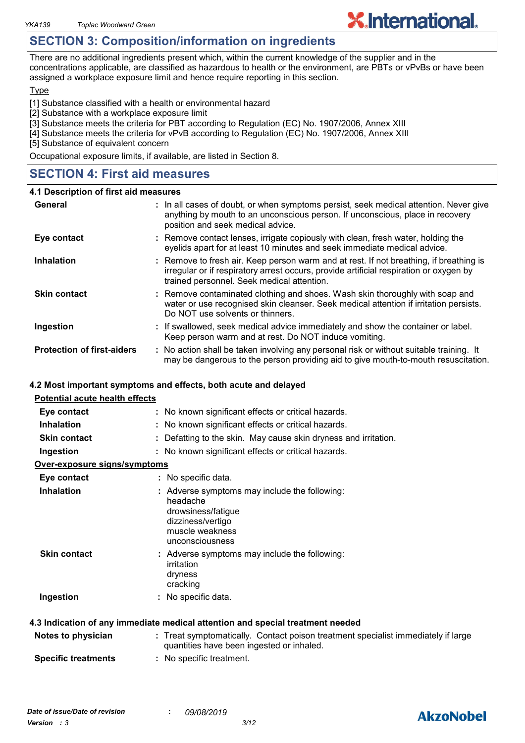# **SECTION 3: Composition/information on ingredients**

There are no additional ingredients present which, within the current knowledge of the supplier and in the concentrations applicable, are classified as hazardous to health or the environment, are PBTs or vPvBs or have been assigned a workplace exposure limit and hence require reporting in this section.

**X.International.** 

#### **Type**

[1] Substance classified with a health or environmental hazard

- [2] Substance with a workplace exposure limit
- [3] Substance meets the criteria for PBT according to Regulation (EC) No. 1907/2006, Annex XIII
- [4] Substance meets the criteria for vPvB according to Regulation (EC) No. 1907/2006, Annex XIII
- [5] Substance of equivalent concern

Occupational exposure limits, if available, are listed in Section 8.

# **SECTION 4: First aid measures**

#### **4.1 Description of first aid measures**

| General                           | : In all cases of doubt, or when symptoms persist, seek medical attention. Never give<br>anything by mouth to an unconscious person. If unconscious, place in recovery<br>position and seek medical advice.                    |
|-----------------------------------|--------------------------------------------------------------------------------------------------------------------------------------------------------------------------------------------------------------------------------|
| Eye contact                       | : Remove contact lenses, irrigate copiously with clean, fresh water, holding the<br>eyelids apart for at least 10 minutes and seek immediate medical advice.                                                                   |
| <b>Inhalation</b>                 | : Remove to fresh air. Keep person warm and at rest. If not breathing, if breathing is<br>irregular or if respiratory arrest occurs, provide artificial respiration or oxygen by<br>trained personnel. Seek medical attention. |
| <b>Skin contact</b>               | : Remove contaminated clothing and shoes. Wash skin thoroughly with soap and<br>water or use recognised skin cleanser. Seek medical attention if irritation persists.<br>Do NOT use solvents or thinners.                      |
| Ingestion                         | : If swallowed, seek medical advice immediately and show the container or label.<br>Keep person warm and at rest. Do NOT induce vomiting.                                                                                      |
| <b>Protection of first-aiders</b> | : No action shall be taken involving any personal risk or without suitable training. It<br>may be dangerous to the person providing aid to give mouth-to-mouth resuscitation.                                                  |

#### **4.2 Most important symptoms and effects, both acute and delayed**

| <b>Potential acute health effects</b> |                                                                                                                                            |
|---------------------------------------|--------------------------------------------------------------------------------------------------------------------------------------------|
| Eye contact                           | : No known significant effects or critical hazards.                                                                                        |
| <b>Inhalation</b>                     | : No known significant effects or critical hazards.                                                                                        |
| <b>Skin contact</b>                   | : Defatting to the skin. May cause skin dryness and irritation.                                                                            |
| Ingestion                             | : No known significant effects or critical hazards.                                                                                        |
| <u>Over-exposure signs/symptoms</u>   |                                                                                                                                            |
| Eye contact                           | : No specific data.                                                                                                                        |
| <b>Inhalation</b>                     | : Adverse symptoms may include the following:<br>headache<br>drowsiness/fatigue<br>dizziness/vertigo<br>muscle weakness<br>unconsciousness |
| <b>Skin contact</b>                   | : Adverse symptoms may include the following:<br>irritation<br>dryness<br>cracking                                                         |
| Ingestion                             | : No specific data.                                                                                                                        |
|                                       | 4.3 Indication of any immediate medical attention and special treatment needed                                                             |
| Notes to physician                    | : Treat symptomatically. Contact poison treatment specialist immediately if large<br>quantities have been ingested or inhaled.             |

**Specific treatments :** No specific treatment.

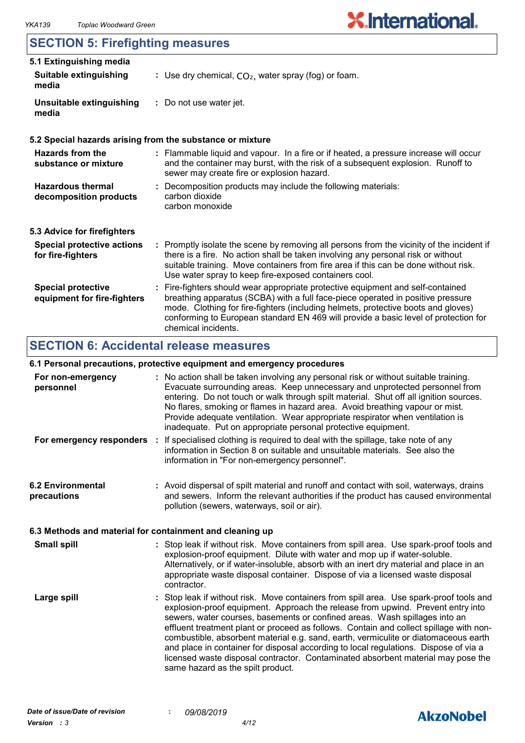# **SECTION 5: Firefighting measures**

| 5.1 Extinguishing media                                  |                                                                                                                                                                                                                                                                                                                                                                       |  |
|----------------------------------------------------------|-----------------------------------------------------------------------------------------------------------------------------------------------------------------------------------------------------------------------------------------------------------------------------------------------------------------------------------------------------------------------|--|
| <b>Suitable extinguishing</b><br>media                   | : Use dry chemical, $CO2$ , water spray (fog) or foam.                                                                                                                                                                                                                                                                                                                |  |
| Unsuitable extinguishing<br>media                        | : Do not use water jet.                                                                                                                                                                                                                                                                                                                                               |  |
|                                                          | 5.2 Special hazards arising from the substance or mixture                                                                                                                                                                                                                                                                                                             |  |
| <b>Hazards from the</b><br>substance or mixture          | : Flammable liquid and vapour. In a fire or if heated, a pressure increase will occur<br>and the container may burst, with the risk of a subsequent explosion. Runoff to<br>sewer may create fire or explosion hazard.                                                                                                                                                |  |
| <b>Hazardous thermal</b><br>decomposition products       | : Decomposition products may include the following materials:<br>carbon dioxide<br>carbon monoxide                                                                                                                                                                                                                                                                    |  |
| 5.3 Advice for firefighters                              |                                                                                                                                                                                                                                                                                                                                                                       |  |
| <b>Special protective actions</b><br>for fire-fighters   | : Promptly isolate the scene by removing all persons from the vicinity of the incident if<br>there is a fire. No action shall be taken involving any personal risk or without<br>suitable training. Move containers from fire area if this can be done without risk.<br>Use water spray to keep fire-exposed containers cool.                                         |  |
| <b>Special protective</b><br>equipment for fire-fighters | : Fire-fighters should wear appropriate protective equipment and self-contained<br>breathing apparatus (SCBA) with a full face-piece operated in positive pressure<br>mode. Clothing for fire-fighters (including helmets, protective boots and gloves)<br>conforming to European standard EN 469 will provide a basic level of protection for<br>chemical incidents. |  |

# **SECTION 6: Accidental release measures**

#### **6.1 Personal precautions, protective equipment and emergency procedures**

|                                         | o. I I crochar procaations, protocityc cquipment and chici gency proceatics                                                                                                                                                                                                                                                                                                                                                                                                                                                                                                                                                                                |
|-----------------------------------------|------------------------------------------------------------------------------------------------------------------------------------------------------------------------------------------------------------------------------------------------------------------------------------------------------------------------------------------------------------------------------------------------------------------------------------------------------------------------------------------------------------------------------------------------------------------------------------------------------------------------------------------------------------|
| For non-emergency<br>personnel          | : No action shall be taken involving any personal risk or without suitable training.<br>Evacuate surrounding areas. Keep unnecessary and unprotected personnel from<br>entering. Do not touch or walk through spilt material. Shut off all ignition sources.<br>No flares, smoking or flames in hazard area. Avoid breathing vapour or mist.<br>Provide adequate ventilation. Wear appropriate respirator when ventilation is<br>inadequate. Put on appropriate personal protective equipment.                                                                                                                                                             |
|                                         | For emergency responders : If specialised clothing is required to deal with the spillage, take note of any<br>information in Section 8 on suitable and unsuitable materials. See also the<br>information in "For non-emergency personnel".                                                                                                                                                                                                                                                                                                                                                                                                                 |
| <b>6.2 Environmental</b><br>precautions | : Avoid dispersal of spilt material and runoff and contact with soil, waterways, drains<br>and sewers. Inform the relevant authorities if the product has caused environmental<br>pollution (sewers, waterways, soil or air).                                                                                                                                                                                                                                                                                                                                                                                                                              |
|                                         | 6.3 Methods and material for containment and cleaning up                                                                                                                                                                                                                                                                                                                                                                                                                                                                                                                                                                                                   |
| <b>Small spill</b>                      | : Stop leak if without risk. Move containers from spill area. Use spark-proof tools and<br>explosion-proof equipment. Dilute with water and mop up if water-soluble.<br>Alternatively, or if water-insoluble, absorb with an inert dry material and place in an<br>appropriate waste disposal container. Dispose of via a licensed waste disposal<br>contractor.                                                                                                                                                                                                                                                                                           |
| Large spill                             | : Stop leak if without risk. Move containers from spill area. Use spark-proof tools and<br>explosion-proof equipment. Approach the release from upwind. Prevent entry into<br>sewers, water courses, basements or confined areas. Wash spillages into an<br>effluent treatment plant or proceed as follows. Contain and collect spillage with non-<br>combustible, absorbent material e.g. sand, earth, vermiculite or diatomaceous earth<br>and place in container for disposal according to local regulations. Dispose of via a<br>licensed waste disposal contractor. Contaminated absorbent material may pose the<br>same hazard as the spilt product. |

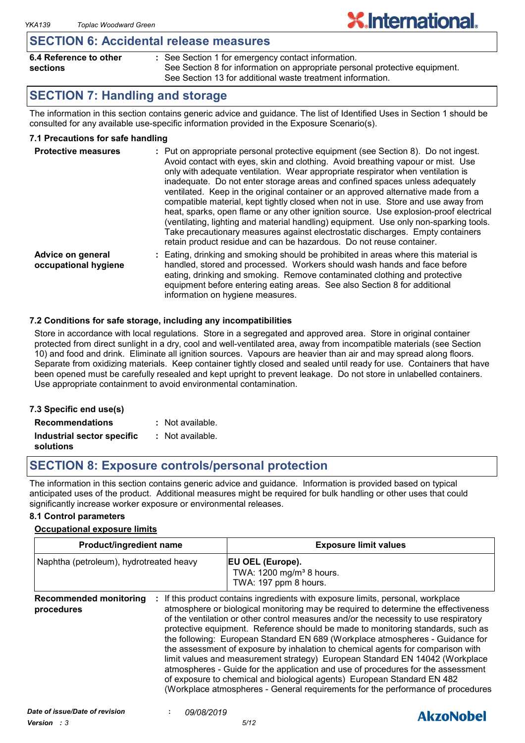### **SECTION 6: Accidental release measures**

| 6.4 Reference to other | : See Section 1 for emergency contact information.                          |
|------------------------|-----------------------------------------------------------------------------|
| sections               | See Section 8 for information on appropriate personal protective equipment. |
|                        | See Section 13 for additional waste treatment information.                  |

# **SECTION 7: Handling and storage**

The information in this section contains generic advice and guidance. The list of Identified Uses in Section 1 should be consulted for any available use-specific information provided in the Exposure Scenario(s).

**X.International.** 

#### **7.1 Precautions for safe handling**

| <b>Protective measures</b>                | : Put on appropriate personal protective equipment (see Section 8). Do not ingest.<br>Avoid contact with eyes, skin and clothing. Avoid breathing vapour or mist. Use<br>only with adequate ventilation. Wear appropriate respirator when ventilation is<br>inadequate. Do not enter storage areas and confined spaces unless adequately<br>ventilated. Keep in the original container or an approved alternative made from a<br>compatible material, kept tightly closed when not in use. Store and use away from<br>heat, sparks, open flame or any other ignition source. Use explosion-proof electrical<br>(ventilating, lighting and material handling) equipment. Use only non-sparking tools.<br>Take precautionary measures against electrostatic discharges. Empty containers<br>retain product residue and can be hazardous. Do not reuse container. |
|-------------------------------------------|----------------------------------------------------------------------------------------------------------------------------------------------------------------------------------------------------------------------------------------------------------------------------------------------------------------------------------------------------------------------------------------------------------------------------------------------------------------------------------------------------------------------------------------------------------------------------------------------------------------------------------------------------------------------------------------------------------------------------------------------------------------------------------------------------------------------------------------------------------------|
| Advice on general<br>occupational hygiene | : Eating, drinking and smoking should be prohibited in areas where this material is<br>handled, stored and processed. Workers should wash hands and face before<br>eating, drinking and smoking. Remove contaminated clothing and protective<br>equipment before entering eating areas. See also Section 8 for additional                                                                                                                                                                                                                                                                                                                                                                                                                                                                                                                                      |

#### **7.2 Conditions for safe storage, including any incompatibilities**

Store in accordance with local regulations. Store in a segregated and approved area. Store in original container protected from direct sunlight in a dry, cool and well-ventilated area, away from incompatible materials (see Section 10) and food and drink. Eliminate all ignition sources. Vapours are heavier than air and may spread along floors. Separate from oxidizing materials. Keep container tightly closed and sealed until ready for use. Containers that have been opened must be carefully resealed and kept upright to prevent leakage. Do not store in unlabelled containers. Use appropriate containment to avoid environmental contamination.

information on hygiene measures.

| 7.3 Specific end use(s)    |                  |
|----------------------------|------------------|
| <b>Recommendations</b>     | : Not available. |
| Industrial sector specific | : Not available. |
| solutions                  |                  |

# **SECTION 8: Exposure controls/personal protection**

The information in this section contains generic advice and guidance. Information is provided based on typical anticipated uses of the product. Additional measures might be required for bulk handling or other uses that could significantly increase worker exposure or environmental releases.

#### **8.1 Control parameters**

#### **Occupational exposure limits**

| <b>Product/ingredient name</b>              |  | <b>Exposure limit values</b>                                                                                                                                                                                                                                                                                                                                                                                                                                                                                                                                                                                                                                                                                                                                                                                                                          |  |  |
|---------------------------------------------|--|-------------------------------------------------------------------------------------------------------------------------------------------------------------------------------------------------------------------------------------------------------------------------------------------------------------------------------------------------------------------------------------------------------------------------------------------------------------------------------------------------------------------------------------------------------------------------------------------------------------------------------------------------------------------------------------------------------------------------------------------------------------------------------------------------------------------------------------------------------|--|--|
| Naphtha (petroleum), hydrotreated heavy     |  | <b>EU OEL (Europe).</b><br>TWA: 1200 mg/m <sup>3</sup> 8 hours.<br>TWA: 197 ppm 8 hours.                                                                                                                                                                                                                                                                                                                                                                                                                                                                                                                                                                                                                                                                                                                                                              |  |  |
| <b>Recommended monitoring</b><br>procedures |  | If this product contains ingredients with exposure limits, personal, workplace<br>atmosphere or biological monitoring may be required to determine the effectiveness<br>of the ventilation or other control measures and/or the necessity to use respiratory<br>protective equipment. Reference should be made to monitoring standards, such as<br>the following: European Standard EN 689 (Workplace atmospheres - Guidance for<br>the assessment of exposure by inhalation to chemical agents for comparison with<br>limit values and measurement strategy) European Standard EN 14042 (Workplace<br>atmospheres - Guide for the application and use of procedures for the assessment<br>of exposure to chemical and biological agents) European Standard EN 482<br>(Workplace atmospheres - General requirements for the performance of procedures |  |  |

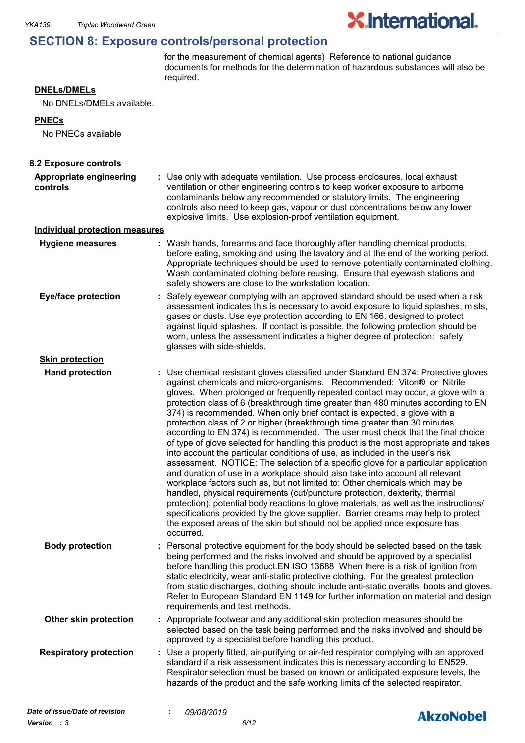## **SECTION 8: Exposure controls/personal protection**

for the measurement of chemical agents) Reference to national guidance documents for methods for the determination of hazardous substances will also be required.

**X.International.** 

#### **DNELs/DMELs**

No DNELs/DMELs available.

#### **PNECs**

No PNECs available

| 8.2 Exposure controls                 |                                                                                                                                                                                                                                                                                                                                                                                                                                                                                                                                                                                                                                                                                                                                                                                                                                                                                                                                                                                                                                                                                                                                                                                                                                                                                                                                                                          |
|---------------------------------------|--------------------------------------------------------------------------------------------------------------------------------------------------------------------------------------------------------------------------------------------------------------------------------------------------------------------------------------------------------------------------------------------------------------------------------------------------------------------------------------------------------------------------------------------------------------------------------------------------------------------------------------------------------------------------------------------------------------------------------------------------------------------------------------------------------------------------------------------------------------------------------------------------------------------------------------------------------------------------------------------------------------------------------------------------------------------------------------------------------------------------------------------------------------------------------------------------------------------------------------------------------------------------------------------------------------------------------------------------------------------------|
| Appropriate engineering<br>controls   | : Use only with adequate ventilation. Use process enclosures, local exhaust<br>ventilation or other engineering controls to keep worker exposure to airborne<br>contaminants below any recommended or statutory limits. The engineering<br>controls also need to keep gas, vapour or dust concentrations below any lower<br>explosive limits. Use explosion-proof ventilation equipment.                                                                                                                                                                                                                                                                                                                                                                                                                                                                                                                                                                                                                                                                                                                                                                                                                                                                                                                                                                                 |
| <b>Individual protection measures</b> |                                                                                                                                                                                                                                                                                                                                                                                                                                                                                                                                                                                                                                                                                                                                                                                                                                                                                                                                                                                                                                                                                                                                                                                                                                                                                                                                                                          |
| <b>Hygiene measures</b>               | : Wash hands, forearms and face thoroughly after handling chemical products,<br>before eating, smoking and using the lavatory and at the end of the working period.<br>Appropriate techniques should be used to remove potentially contaminated clothing.<br>Wash contaminated clothing before reusing. Ensure that eyewash stations and<br>safety showers are close to the workstation location.                                                                                                                                                                                                                                                                                                                                                                                                                                                                                                                                                                                                                                                                                                                                                                                                                                                                                                                                                                        |
| <b>Eye/face protection</b>            | : Safety eyewear complying with an approved standard should be used when a risk<br>assessment indicates this is necessary to avoid exposure to liquid splashes, mists,<br>gases or dusts. Use eye protection according to EN 166, designed to protect<br>against liquid splashes. If contact is possible, the following protection should be<br>worn, unless the assessment indicates a higher degree of protection: safety<br>glasses with side-shields.                                                                                                                                                                                                                                                                                                                                                                                                                                                                                                                                                                                                                                                                                                                                                                                                                                                                                                                |
| <b>Skin protection</b>                |                                                                                                                                                                                                                                                                                                                                                                                                                                                                                                                                                                                                                                                                                                                                                                                                                                                                                                                                                                                                                                                                                                                                                                                                                                                                                                                                                                          |
| <b>Hand protection</b>                | : Use chemical resistant gloves classified under Standard EN 374: Protective gloves<br>against chemicals and micro-organisms. Recommended: Viton® or Nitrile<br>gloves. When prolonged or frequently repeated contact may occur, a glove with a<br>protection class of 6 (breakthrough time greater than 480 minutes according to EN<br>374) is recommended. When only brief contact is expected, a glove with a<br>protection class of 2 or higher (breakthrough time greater than 30 minutes<br>according to EN 374) is recommended. The user must check that the final choice<br>of type of glove selected for handling this product is the most appropriate and takes<br>into account the particular conditions of use, as included in the user's risk<br>assessment. NOTICE: The selection of a specific glove for a particular application<br>and duration of use in a workplace should also take into account all relevant<br>workplace factors such as, but not limited to: Other chemicals which may be<br>handled, physical requirements (cut/puncture protection, dexterity, thermal<br>protection), potential body reactions to glove materials, as well as the instructions/<br>specifications provided by the glove supplier. Barrier creams may help to protect<br>the exposed areas of the skin but should not be applied once exposure has<br>occurred. |
| <b>Body protection</b>                | Personal protective equipment for the body should be selected based on the task<br>being performed and the risks involved and should be approved by a specialist<br>before handling this product. EN ISO 13688 When there is a risk of ignition from<br>static electricity, wear anti-static protective clothing. For the greatest protection<br>from static discharges, clothing should include anti-static overalls, boots and gloves.<br>Refer to European Standard EN 1149 for further information on material and design<br>requirements and test methods.                                                                                                                                                                                                                                                                                                                                                                                                                                                                                                                                                                                                                                                                                                                                                                                                          |
| Other skin protection                 | : Appropriate footwear and any additional skin protection measures should be<br>selected based on the task being performed and the risks involved and should be<br>approved by a specialist before handling this product.                                                                                                                                                                                                                                                                                                                                                                                                                                                                                                                                                                                                                                                                                                                                                                                                                                                                                                                                                                                                                                                                                                                                                |
| <b>Respiratory protection</b>         | : Use a properly fitted, air-purifying or air-fed respirator complying with an approved<br>standard if a risk assessment indicates this is necessary according to EN529.<br>Respirator selection must be based on known or anticipated exposure levels, the<br>hazards of the product and the safe working limits of the selected respirator.                                                                                                                                                                                                                                                                                                                                                                                                                                                                                                                                                                                                                                                                                                                                                                                                                                                                                                                                                                                                                            |
| Date of issue/Date of revision        | 09/08/2019                                                                                                                                                                                                                                                                                                                                                                                                                                                                                                                                                                                                                                                                                                                                                                                                                                                                                                                                                                                                                                                                                                                                                                                                                                                                                                                                                               |
|                                       | <b>AkzoNobel</b>                                                                                                                                                                                                                                                                                                                                                                                                                                                                                                                                                                                                                                                                                                                                                                                                                                                                                                                                                                                                                                                                                                                                                                                                                                                                                                                                                         |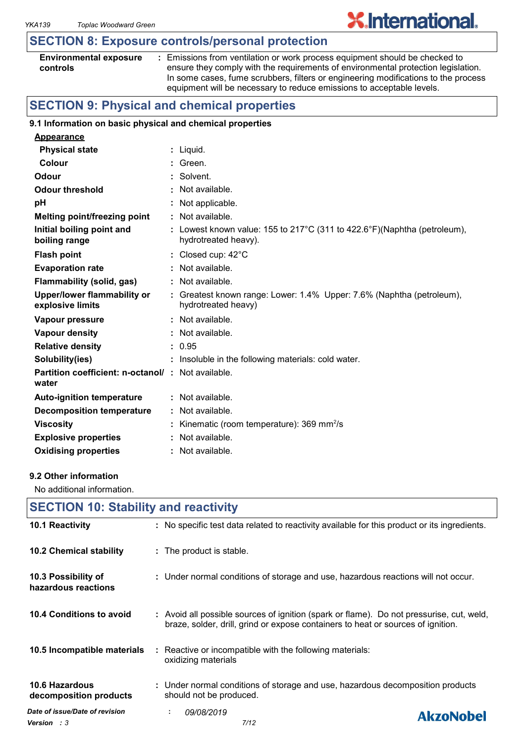# **SECTION 8: Exposure controls/personal protection**

#### **Environmental exposure controls**

**:** Emissions from ventilation or work process equipment should be checked to ensure they comply with the requirements of environmental protection legislation. In some cases, fume scrubbers, filters or engineering modifications to the process equipment will be necessary to reduce emissions to acceptable levels.

**X.International.** 

# **SECTION 9: Physical and chemical properties**

#### **9.1 Information on basic physical and chemical properties**

| <b>Appearance</b>                                                 |                                                                                                  |
|-------------------------------------------------------------------|--------------------------------------------------------------------------------------------------|
| <b>Physical state</b>                                             | : Liquid.                                                                                        |
| Colour                                                            | : Green.                                                                                         |
| Odour                                                             | : Solvent.                                                                                       |
| <b>Odour threshold</b>                                            | : Not available.                                                                                 |
| pH                                                                | : Not applicable.                                                                                |
| <b>Melting point/freezing point</b>                               | $:$ Not available.                                                                               |
| Initial boiling point and<br>boiling range                        | : Lowest known value: 155 to 217°C (311 to 422.6°F)(Naphtha (petroleum),<br>hydrotreated heavy). |
| <b>Flash point</b>                                                | : Closed cup: $42^{\circ}$ C                                                                     |
| <b>Evaporation rate</b>                                           | $:$ Not available.                                                                               |
| Flammability (solid, gas)                                         | : Not available.                                                                                 |
| <b>Upper/lower flammability or</b><br>explosive limits            | : Greatest known range: Lower: 1.4% Upper: 7.6% (Naphtha (petroleum),<br>hydrotreated heavy)     |
| Vapour pressure                                                   | $:$ Not available.                                                                               |
| Vapour density                                                    | : Not available.                                                                                 |
| <b>Relative density</b>                                           | : 0.95                                                                                           |
| Solubility(ies)                                                   | : Insoluble in the following materials: cold water.                                              |
| <b>Partition coefficient: n-octanol/: Not available.</b><br>water |                                                                                                  |
| <b>Auto-ignition temperature</b>                                  | $:$ Not available.                                                                               |
| <b>Decomposition temperature</b>                                  | : Not available.                                                                                 |
| <b>Viscosity</b>                                                  | : Kinematic (room temperature): $369 \text{ mm}^2/\text{s}$                                      |
| <b>Explosive properties</b>                                       | : Not available.                                                                                 |
| <b>Oxidising properties</b>                                       | : Not available.                                                                                 |

#### **9.2 Other information**

No additional information.

| <b>SECTION 10: Stability and reactivity</b>          |                                                                                                                                                                              |  |  |  |
|------------------------------------------------------|------------------------------------------------------------------------------------------------------------------------------------------------------------------------------|--|--|--|
| 10.1 Reactivity                                      | : No specific test data related to reactivity available for this product or its ingredients.                                                                                 |  |  |  |
| 10.2 Chemical stability                              | : The product is stable.                                                                                                                                                     |  |  |  |
| 10.3 Possibility of<br>hazardous reactions           | : Under normal conditions of storage and use, hazardous reactions will not occur.                                                                                            |  |  |  |
| 10.4 Conditions to avoid                             | : Avoid all possible sources of ignition (spark or flame). Do not pressurise, cut, weld,<br>braze, solder, drill, grind or expose containers to heat or sources of ignition. |  |  |  |
| 10.5 Incompatible materials                          | : Reactive or incompatible with the following materials:<br>oxidizing materials                                                                                              |  |  |  |
| 10.6 Hazardous<br>decomposition products             | : Under normal conditions of storage and use, hazardous decomposition products<br>should not be produced.                                                                    |  |  |  |
| Date of issue/Date of revision<br><b>Version</b> : 3 | 09/08/2019<br>÷.<br><b>AkzoNobel</b><br>7/12                                                                                                                                 |  |  |  |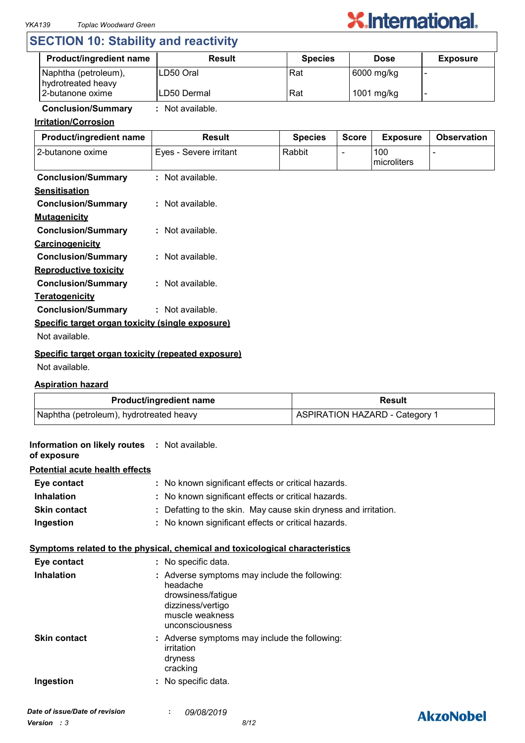

# **SECTION 10: Stability and reactivity**

| <b>Product/ingredient name</b>             | <b>Result</b> | <b>Species</b> | <b>Dose</b> | <b>Exposure</b> |
|--------------------------------------------|---------------|----------------|-------------|-----------------|
| Naphtha (petroleum),<br>hydrotreated heavy | ILD50 Oral    | Rat            | 6000 mg/kg  |                 |
| 2-butanone oxime                           | ILD50 Dermal  | Rat            | 1001 mg/kg  |                 |

**Conclusion/Summary :** Not available.

#### **Irritation/Corrosion**

| Product/ingredient name                            | <b>Result</b>          | <b>Species</b> | <b>Score</b> | <b>Exposure</b>    | <b>Observation</b> |
|----------------------------------------------------|------------------------|----------------|--------------|--------------------|--------------------|
| 2-butanone oxime                                   | Eyes - Severe irritant | Rabbit         |              | 100<br>microliters |                    |
| <b>Conclusion/Summary</b>                          | : Not available.       |                |              |                    |                    |
| <b>Sensitisation</b>                               |                        |                |              |                    |                    |
| <b>Conclusion/Summary</b>                          | : Not available.       |                |              |                    |                    |
| <b>Mutagenicity</b>                                |                        |                |              |                    |                    |
| <b>Conclusion/Summary</b>                          | $:$ Not available.     |                |              |                    |                    |
| Carcinogenicity                                    |                        |                |              |                    |                    |
| <b>Conclusion/Summary</b>                          | $:$ Not available.     |                |              |                    |                    |
| <b>Reproductive toxicity</b>                       |                        |                |              |                    |                    |
| <b>Conclusion/Summary</b>                          | : Not available.       |                |              |                    |                    |
| <b>Teratogenicity</b>                              |                        |                |              |                    |                    |
| <b>Conclusion/Summary</b>                          | : Not available.       |                |              |                    |                    |
| Specific target organ toxicity (single exposure)   |                        |                |              |                    |                    |
| Not available.                                     |                        |                |              |                    |                    |
| Considia tavant avano tavisity (venested evangura) |                        |                |              |                    |                    |

#### **Specific target organ toxicity (repeated exposure)**

Not available.

#### **Aspiration hazard**

| <b>Product/ingredient name</b>          | Result                         |  |
|-----------------------------------------|--------------------------------|--|
| Naphtha (petroleum), hydrotreated heavy | ASPIRATION HAZARD - Category 1 |  |

| <b>Information on likely routes : Not available.</b><br>of exposure |                                                                                                                                            |              |  |  |
|---------------------------------------------------------------------|--------------------------------------------------------------------------------------------------------------------------------------------|--------------|--|--|
| <b>Potential acute health effects</b>                               |                                                                                                                                            |              |  |  |
| Eye contact                                                         | : No known significant effects or critical hazards.                                                                                        |              |  |  |
| <b>Inhalation</b>                                                   | No known significant effects or critical hazards.                                                                                          |              |  |  |
| <b>Skin contact</b>                                                 | Defatting to the skin. May cause skin dryness and irritation.                                                                              |              |  |  |
| Ingestion                                                           | No known significant effects or critical hazards.                                                                                          |              |  |  |
|                                                                     | Symptoms related to the physical, chemical and toxicological characteristics                                                               |              |  |  |
| Eye contact                                                         | : No specific data.                                                                                                                        |              |  |  |
| <b>Inhalation</b>                                                   | : Adverse symptoms may include the following:<br>headache<br>drowsiness/fatigue<br>dizziness/vertigo<br>muscle weakness<br>unconsciousness |              |  |  |
| <b>Skin contact</b>                                                 | : Adverse symptoms may include the following:<br>irritation<br>dryness<br>cracking                                                         |              |  |  |
| Ingestion                                                           | No specific data.                                                                                                                          |              |  |  |
| Date of issue/Date of revision                                      | 09/08/2019                                                                                                                                 | $\mathbf{A}$ |  |  |

# **AkzoNobel**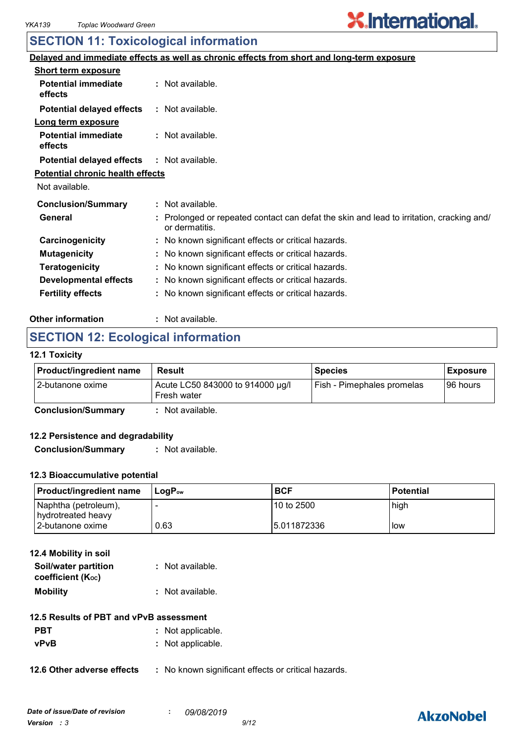# **X.International.**

# **SECTION 11: Toxicological information**

|                                         | <u>Delayed and immediate effects as well as chronic effects from short and long-term exposure</u>             |
|-----------------------------------------|---------------------------------------------------------------------------------------------------------------|
| <b>Short term exposure</b>              |                                                                                                               |
| <b>Potential immediate</b><br>effects   | $:$ Not available.                                                                                            |
| <b>Potential delayed effects</b>        | : Not available.                                                                                              |
| <u>Long term exposure</u>               |                                                                                                               |
| <b>Potential immediate</b><br>effects   | : Not available.                                                                                              |
| <b>Potential delayed effects</b>        | : Not available.                                                                                              |
| <b>Potential chronic health effects</b> |                                                                                                               |
| Not available.                          |                                                                                                               |
| <b>Conclusion/Summary</b>               | : Not available.                                                                                              |
| General                                 | Prolonged or repeated contact can defat the skin and lead to irritation, cracking and/<br>÷<br>or dermatitis. |
| Carcinogenicity                         | : No known significant effects or critical hazards.                                                           |
| <b>Mutagenicity</b>                     | : No known significant effects or critical hazards.                                                           |
| <b>Teratogenicity</b>                   | : No known significant effects or critical hazards.                                                           |
| <b>Developmental effects</b>            | : No known significant effects or critical hazards.                                                           |
| <b>Fertility effects</b>                | : No known significant effects or critical hazards.                                                           |
|                                         |                                                                                                               |

#### **Other information :** : Not available.

# **SECTION 12: Ecological information**

#### **12.1 Toxicity**

| <b>Product/ingredient name</b> | Result                                          | <b>Species</b>             | Exposure  |
|--------------------------------|-------------------------------------------------|----------------------------|-----------|
| l 2-butanone oxime             | Acute LC50 843000 to 914000 µg/l<br>Fresh water | Fish - Pimephales promelas | 196 hours |
| <b>Conclusion/Summary</b>      | Not available.                                  |                            |           |

#### **12.2 Persistence and degradability**

**Conclusion/Summary :** Not available.

#### **12.3 Bioaccumulative potential**

| <b>Product/ingredient name</b>             | l LoɑP <sub>∾</sub> | <b>BCF</b>   | <b>Potential</b> |
|--------------------------------------------|---------------------|--------------|------------------|
| Naphtha (petroleum),<br>hydrotreated heavy |                     | l 10 to 2500 | high             |
| l 2-butanone oxime                         | 0.63                | 15.011872336 | low              |

| 12.4 Mobility in soil                     |                  |
|-------------------------------------------|------------------|
| Soil/water partition<br>coefficient (Koc) | : Not available. |
| <b>Mobility</b>                           | : Not available. |

#### **12.5 Results of PBT and vPvB assessment**

| <b>PBT</b> | : Not applicable. |
|------------|-------------------|
| vPvB       | : Not applicable. |

**12.6 Other adverse effects** : No known significant effects or critical hazards.

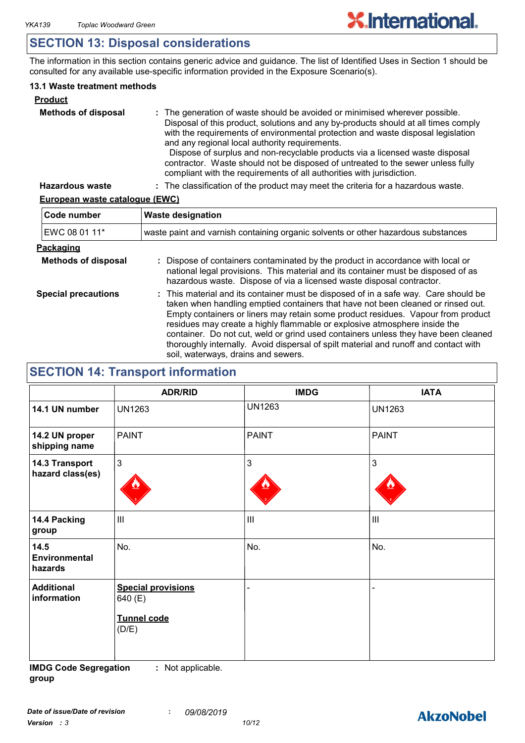# **SECTION 13: Disposal considerations**

The information in this section contains generic advice and guidance. The list of Identified Uses in Section 1 should be consulted for any available use-specific information provided in the Exposure Scenario(s).

#### **13.1 Waste treatment methods**

| <b>Product</b>             |                                                                                                                                                                                                                                                                                                                                                                                                                                                                                                                                                     |
|----------------------------|-----------------------------------------------------------------------------------------------------------------------------------------------------------------------------------------------------------------------------------------------------------------------------------------------------------------------------------------------------------------------------------------------------------------------------------------------------------------------------------------------------------------------------------------------------|
| <b>Methods of disposal</b> | : The generation of waste should be avoided or minimised wherever possible.<br>Disposal of this product, solutions and any by-products should at all times comply<br>with the requirements of environmental protection and waste disposal legislation<br>and any regional local authority requirements.<br>Dispose of surplus and non-recyclable products via a licensed waste disposal<br>contractor. Waste should not be disposed of untreated to the sewer unless fully<br>compliant with the requirements of all authorities with jurisdiction. |
| <b>Hazardous waste</b>     | : The classification of the product may meet the criteria for a hazardous waste.                                                                                                                                                                                                                                                                                                                                                                                                                                                                    |

#### **European waste catalogue (EWC)**

| Code number                | <b>Waste designation</b>                                                                                                                                                                                                                                                                                                                                                                                                                                                                                                                                      |  |  |
|----------------------------|---------------------------------------------------------------------------------------------------------------------------------------------------------------------------------------------------------------------------------------------------------------------------------------------------------------------------------------------------------------------------------------------------------------------------------------------------------------------------------------------------------------------------------------------------------------|--|--|
| EWC 08 01 11*              | waste paint and varnish containing organic solvents or other hazardous substances                                                                                                                                                                                                                                                                                                                                                                                                                                                                             |  |  |
| Packaging                  |                                                                                                                                                                                                                                                                                                                                                                                                                                                                                                                                                               |  |  |
| <b>Methods of disposal</b> | : Dispose of containers contaminated by the product in accordance with local or<br>national legal provisions. This material and its container must be disposed of as<br>hazardous waste. Dispose of via a licensed waste disposal contractor.                                                                                                                                                                                                                                                                                                                 |  |  |
| <b>Special precautions</b> | : This material and its container must be disposed of in a safe way. Care should be<br>taken when handling emptied containers that have not been cleaned or rinsed out.<br>Empty containers or liners may retain some product residues. Vapour from product<br>residues may create a highly flammable or explosive atmosphere inside the<br>container. Do not cut, weld or grind used containers unless they have been cleaned<br>thoroughly internally. Avoid dispersal of spilt material and runoff and contact with<br>soil, waterways, drains and sewers. |  |  |

# **SECTION 14: Transport information**

|                                         | <b>ADR/RID</b>                                               | <b>IMDG</b>    | <b>IATA</b>   |
|-----------------------------------------|--------------------------------------------------------------|----------------|---------------|
| 14.1 UN number                          | <b>UN1263</b>                                                | <b>UN1263</b>  | <b>UN1263</b> |
| 14.2 UN proper<br>shipping name         | <b>PAINT</b>                                                 | <b>PAINT</b>   | <b>PAINT</b>  |
| 14.3 Transport<br>hazard class(es)      | $\mathfrak{Z}$                                               | 3              | 3             |
| 14.4 Packing<br>group                   | III                                                          | $\mathbf{III}$ | III           |
| 14.5<br><b>Environmental</b><br>hazards | No.                                                          | No.            | No.           |
| <b>Additional</b><br>information        | <b>Special provisions</b><br>640 (E)<br>Tunnel code<br>(D/E) |                |               |

**IMDG Code Segregation group :** Not applicable.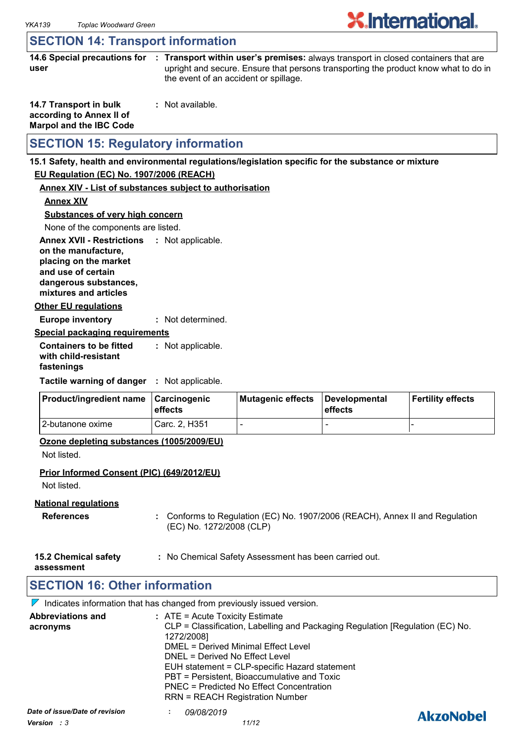# **X**.International.

# **SECTION 14: Transport information**

**14.6 Special precautions for : Transport within user's premises:** always transport in closed containers that are **user** upright and secure. Ensure that persons transporting the product know what to do in the event of an accident or spillage.

| 14.7 Transport in bulk         | : Not available. |
|--------------------------------|------------------|
| according to Annex II of       |                  |
| <b>Marpol and the IBC Code</b> |                  |

# **SECTION 15: Regulatory information**

#### **15.1 Safety, health and environmental regulations/legislation specific for the substance or mixture**

#### **EU Regulation (EC) No. 1907/2006 (REACH)**

#### **Annex XIV - List of substances subject to authorisation**

**Annex XIV**

**Substances of very high concern**

None of the components are listed.

**Annex XVII - Restrictions : Not applicable. on the manufacture, placing on the market and use of certain** 

**dangerous substances, mixtures and articles**

#### **Other EU regulations**

**Europe inventory :** Not determined.

#### **Special packaging requirements**

**Containers to be fitted with child-resistant fastenings** Not applicable. **:**

**Tactile warning of danger : Not applicable.** 

| <b>Product/ingredient name</b> | <b>∣Carcinogenic</b><br><b>leffects</b> | Mutagenic effects | Developmental<br>effects | Fertility effects |
|--------------------------------|-----------------------------------------|-------------------|--------------------------|-------------------|
| 12-butanone oxime              | Carc. 2. H351                           |                   | -                        |                   |

#### **Ozone depleting substances (1005/2009/EU)**

Not listed.

#### **Prior Informed Consent (PIC) (649/2012/EU)**

Not listed.

#### **National regulations**

- **References :** Conforms to Regulation (EC) No. 1907/2006 (REACH), Annex II and Regulation (EC) No. 1272/2008 (CLP)
- **15.2 Chemical safety :** No Chemical Safety Assessment has been carried out.

**assessment**

# **SECTION 16: Other information**

 $\nabla$  Indicates information that has changed from previously issued version.

| <b>Abbreviations and</b><br>acronyms          | $:$ ATE = Acute Toxicity Estimate<br>CLP = Classification, Labelling and Packaging Regulation [Regulation (EC) No.<br>1272/2008]<br>DMEL = Derived Minimal Effect Level<br>DNEL = Derived No Effect Level<br>EUH statement = CLP-specific Hazard statement<br>PBT = Persistent, Bioaccumulative and Toxic<br>PNEC = Predicted No Effect Concentration<br><b>RRN = REACH Registration Number</b> |                  |
|-----------------------------------------------|-------------------------------------------------------------------------------------------------------------------------------------------------------------------------------------------------------------------------------------------------------------------------------------------------------------------------------------------------------------------------------------------------|------------------|
| Date of issue/Date of revision<br>Version : 3 | 09/08/2019<br>11/12                                                                                                                                                                                                                                                                                                                                                                             | <b>AkzoNobel</b> |